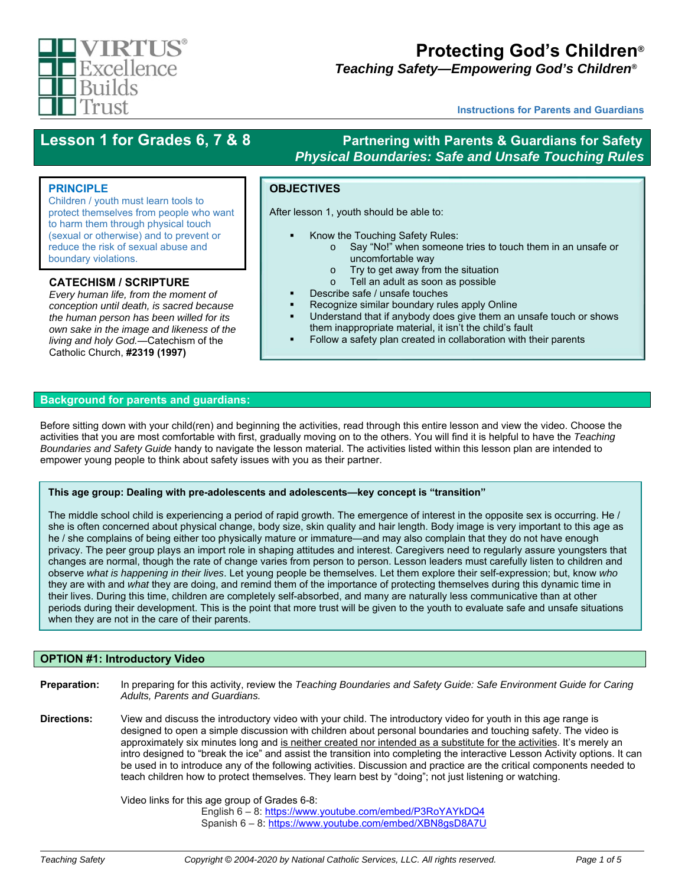

# **Protecting God's Children***®*

*Teaching Safety—Empowering God's Children®™*

**Instructions for Parents and Guardians**

### Lesson 1 for Grades 6, 7 & 8 **Partnering with Parents & Guardians for Safety** *Physical Boundaries: Safe and Unsafe Touching Rules*

#### **PRINCIPLE**

Children / youth must learn tools to protect themselves from people who want to harm them through physical touch (sexual or otherwise) and to prevent or reduce the risk of sexual abuse and boundary violations.

#### **CATECHISM / SCRIPTURE**

*Every human life, from the moment of conception until death, is sacred because the human person has been willed for its own sake in the image and likeness of the living and holy God.*—Catechism of the Catholic Church, **#2319 (1997)**

# **OBJECTIVES**

After lesson 1, youth should be able to:

- Know the Touching Safety Rules:
	- o Say "No!" when someone tries to touch them in an unsafe or uncomfortable way
	- o Try to get away from the situation
	- o Tell an adult as soon as possible
- Describe safe / unsafe touches
- Recognize similar boundary rules apply Online
- Understand that if anybody does give them an unsafe touch or shows them inappropriate material, it isn't the child's fault
- Follow a safety plan created in collaboration with their parents

#### **Background for parents and guardians:**

Before sitting down with your child(ren) and beginning the activities, read through this entire lesson and view the video. Choose the activities that you are most comfortable with first, gradually moving on to the others. You will find it is helpful to have the *Teaching Boundaries and Safety Guide* handy to navigate the lesson material. The activities listed within this lesson plan are intended to empower young people to think about safety issues with you as their partner.

#### **This age group: Dealing with pre-adolescents and adolescents—key concept is "transition"**

The middle school child is experiencing a period of rapid growth. The emergence of interest in the opposite sex is occurring. He / she is often concerned about physical change, body size, skin quality and hair length. Body image is very important to this age as he / she complains of being either too physically mature or immature—and may also complain that they do not have enough privacy. The peer group plays an import role in shaping attitudes and interest. Caregivers need to regularly assure youngsters that changes are normal, though the rate of change varies from person to person. Lesson leaders must carefully listen to children and observe *what is happening in their lives*. Let young people be themselves. Let them explore their self-expression; but, know *who* they are with and *what* they are doing, and remind them of the importance of protecting themselves during this dynamic time in their lives. During this time, children are completely self-absorbed, and many are naturally less communicative than at other periods during their development. This is the point that more trust will be given to the youth to evaluate safe and unsafe situations when they are not in the care of their parents.

#### **OPTION #1: Introductory Video**

**Preparation:** In preparing for this activity, review the *Teaching Boundaries and Safety Guide: Safe Environment Guide for Caring Adults, Parents and Guardians.*  **Directions:** View and discuss the introductory video with your child. The introductory video for youth in this age range is designed to open a simple discussion with children about personal boundaries and touching safety. The video is approximately six minutes long and is neither created nor intended as a substitute for the activities. It's merely an intro designed to "break the ice" and assist the transition into completing the interactive Lesson Activity options. It can be used in to introduce any of the following activities. Discussion and practice are the critical components needed to teach children how to protect themselves. They learn best by "doing"; not just listening or watching.

> Video links for this age group of Grades 6-8: English 6 – 8: https://www.youtube.com/embed/P3RoYAYkDQ4 Spanish 6 – 8: https://www.youtube.com/embed/XBN8gsD8A7U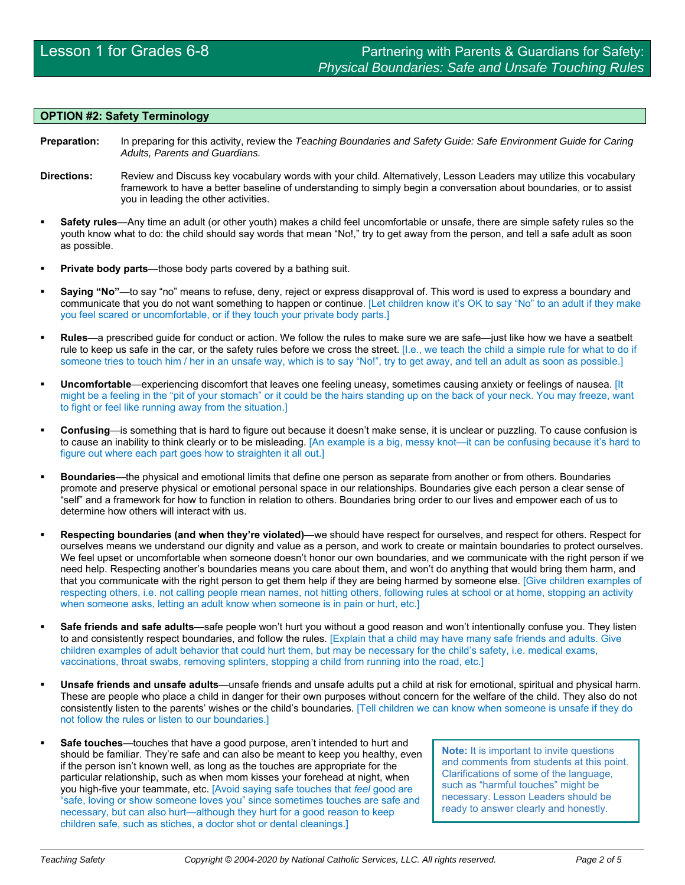#### **OPTION #2: Safety Terminology**

- **Preparation:** In preparing for this activity, review the *Teaching Boundaries and Safety Guide: Safe Environment Guide for Caring Adults, Parents and Guardians.*
- **Directions:** Review and Discuss key vocabulary words with your child. Alternatively, Lesson Leaders may utilize this vocabulary framework to have a better baseline of understanding to simply begin a conversation about boundaries, or to assist you in leading the other activities.
- **Safety rules**—Any time an adult (or other youth) makes a child feel uncomfortable or unsafe, there are simple safety rules so the youth know what to do: the child should say words that mean "No!," try to get away from the person, and tell a safe adult as soon as possible.
- **Private body parts**—those body parts covered by a bathing suit.
- **Saying "No"**—to say "no" means to refuse, deny, reject or express disapproval of. This word is used to express a boundary and communicate that you do not want something to happen or continue. [Let children know it's OK to say "No" to an adult if they make you feel scared or uncomfortable, or if they touch your private body parts.]
- **Rules**—a prescribed guide for conduct or action. We follow the rules to make sure we are safe—just like how we have a seatbelt rule to keep us safe in the car, or the safety rules before we cross the street. [I.e., we teach the child a simple rule for what to do if someone tries to touch him / her in an unsafe way, which is to say "No!", try to get away, and tell an adult as soon as possible.]
- **Uncomfortable**—experiencing discomfort that leaves one feeling uneasy, sometimes causing anxiety or feelings of nausea. [It might be a feeling in the "pit of your stomach" or it could be the hairs standing up on the back of your neck. You may freeze, want to fight or feel like running away from the situation.]
- **Confusing**—is something that is hard to figure out because it doesn't make sense, it is unclear or puzzling. To cause confusion is to cause an inability to think clearly or to be misleading. [An example is a big, messy knot—it can be confusing because it's hard to figure out where each part goes how to straighten it all out.]
- **Boundaries**—the physical and emotional limits that define one person as separate from another or from others. Boundaries promote and preserve physical or emotional personal space in our relationships. Boundaries give each person a clear sense of "self" and a framework for how to function in relation to others. Boundaries bring order to our lives and empower each of us to determine how others will interact with us.
- **Respecting boundaries (and when they're violated)**—we should have respect for ourselves, and respect for others. Respect for ourselves means we understand our dignity and value as a person, and work to create or maintain boundaries to protect ourselves. We feel upset or uncomfortable when someone doesn't honor our own boundaries, and we communicate with the right person if we need help. Respecting another's boundaries means you care about them, and won't do anything that would bring them harm, and that you communicate with the right person to get them help if they are being harmed by someone else. [Give children examples of respecting others, i.e. not calling people mean names, not hitting others, following rules at school or at home, stopping an activity when someone asks, letting an adult know when someone is in pain or hurt, etc.]
- **Safe friends and safe adults**—safe people won't hurt you without a good reason and won't intentionally confuse you. They listen to and consistently respect boundaries, and follow the rules. [Explain that a child may have many safe friends and adults. Give children examples of adult behavior that could hurt them, but may be necessary for the child's safety, i.e. medical exams, vaccinations, throat swabs, removing splinters, stopping a child from running into the road, etc.]
- **Unsafe friends and unsafe adults**—unsafe friends and unsafe adults put a child at risk for emotional, spiritual and physical harm. These are people who place a child in danger for their own purposes without concern for the welfare of the child. They also do not consistently listen to the parents' wishes or the child's boundaries. [Tell children we can know when someone is unsafe if they do not follow the rules or listen to our boundaries.]
- **Safe touches**—touches that have a good purpose, aren't intended to hurt and should be familiar. They're safe and can also be meant to keep you healthy, even if the person isn't known well, as long as the touches are appropriate for the particular relationship, such as when mom kisses your forehead at night, when you high-five your teammate, etc. [Avoid saying safe touches that *feel* good are "safe, loving or show someone loves you" since sometimes touches are safe and necessary, but can also hurt—although they hurt for a good reason to keep children safe, such as stiches, a doctor shot or dental cleanings.]

**Note:** It is important to invite questions and comments from students at this point. Clarifications of some of the language, such as "harmful touches" might be necessary. Lesson Leaders should be ready to answer clearly and honestly.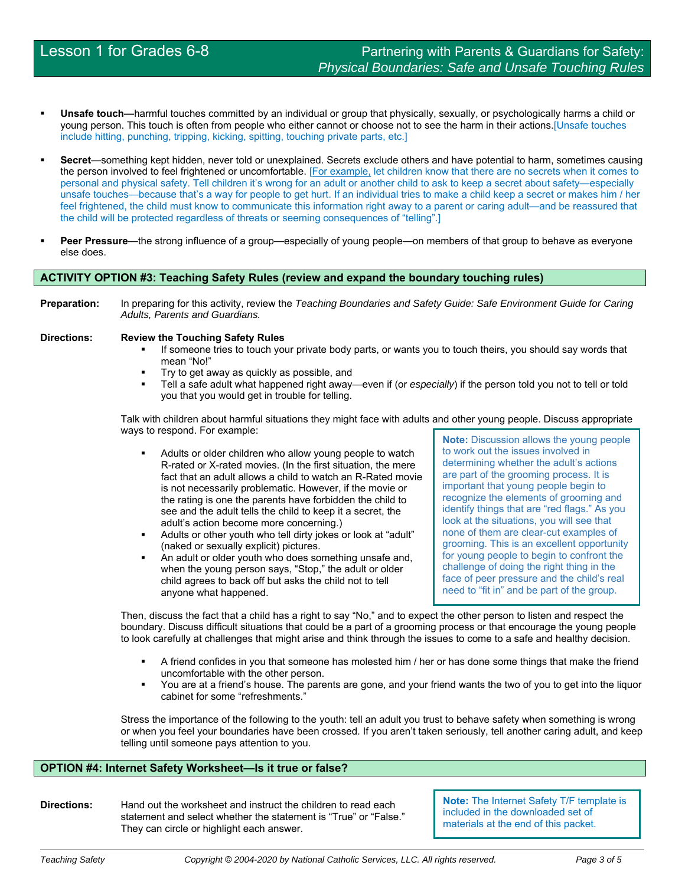- **Unsafe touch—**harmful touches committed by an individual or group that physically, sexually, or psychologically harms a child or young person. This touch is often from people who either cannot or choose not to see the harm in their actions.[Unsafe touches include hitting, punching, tripping, kicking, spitting, touching private parts, etc.]
- **Secret**—something kept hidden, never told or unexplained. Secrets exclude others and have potential to harm, sometimes causing the person involved to feel frightened or uncomfortable. [For example, let children know that there are no secrets when it comes to personal and physical safety. Tell children it's wrong for an adult or another child to ask to keep a secret about safety—especially unsafe touches—because that's a way for people to get hurt. If an individual tries to make a child keep a secret or makes him / her feel frightened, the child must know to communicate this information right away to a parent or caring adult—and be reassured that the child will be protected regardless of threats or seeming consequences of "telling".]
- **Peer Pressure**—the strong influence of a group—especially of young people—on members of that group to behave as everyone else does.

#### **ACTIVITY OPTION #3: Teaching Safety Rules (review and expand the boundary touching rules)**

**Preparation:** In preparing for this activity, review the *Teaching Boundaries and Safety Guide: Safe Environment Guide for Caring Adults, Parents and Guardians.*

#### **Directions: Review the Touching Safety Rules**

- If someone tries to touch your private body parts, or wants you to touch theirs, you should say words that mean "No!"
- **Try to get away as quickly as possible, and**
- Tell a safe adult what happened right away—even if (or *especially*) if the person told you not to tell or told you that you would get in trouble for telling.

Talk with children about harmful situations they might face with adults and other young people. Discuss appropriate ways to respond. For example:

- Adults or older children who allow young people to watch R-rated or X-rated movies. (In the first situation, the mere fact that an adult allows a child to watch an R-Rated movie is not necessarily problematic. However, if the movie or the rating is one the parents have forbidden the child to see and the adult tells the child to keep it a secret, the adult's action become more concerning.)
- Adults or other youth who tell dirty jokes or look at "adult" (naked or sexually explicit) pictures.
- An adult or older youth who does something unsafe and, when the young person says, "Stop," the adult or older child agrees to back off but asks the child not to tell anyone what happened.

**Note:** Discussion allows the young people to work out the issues involved in determining whether the adult's actions are part of the grooming process. It is important that young people begin to recognize the elements of grooming and identify things that are "red flags." As you look at the situations, you will see that none of them are clear-cut examples of grooming. This is an excellent opportunity for young people to begin to confront the challenge of doing the right thing in the face of peer pressure and the child's real need to "fit in" and be part of the group.

Then, discuss the fact that a child has a right to say "No," and to expect the other person to listen and respect the boundary. Discuss difficult situations that could be a part of a grooming process or that encourage the young people to look carefully at challenges that might arise and think through the issues to come to a safe and healthy decision.

- **A** friend confides in you that someone has molested him / her or has done some things that make the friend uncomfortable with the other person.
- You are at a friend's house. The parents are gone, and your friend wants the two of you to get into the liquor cabinet for some "refreshments."

Stress the importance of the following to the youth: tell an adult you trust to behave safety when something is wrong or when you feel your boundaries have been crossed. If you aren't taken seriously, tell another caring adult, and keep telling until someone pays attention to you.

#### **OPTION #4: Internet Safety Worksheet—Is it true or false?**

**Directions:** Hand out the worksheet and instruct the children to read each statement and select whether the statement is "True" or "False." They can circle or highlight each answer.

**Note:** The Internet Safety T/F template is included in the downloaded set of materials at the end of this packet.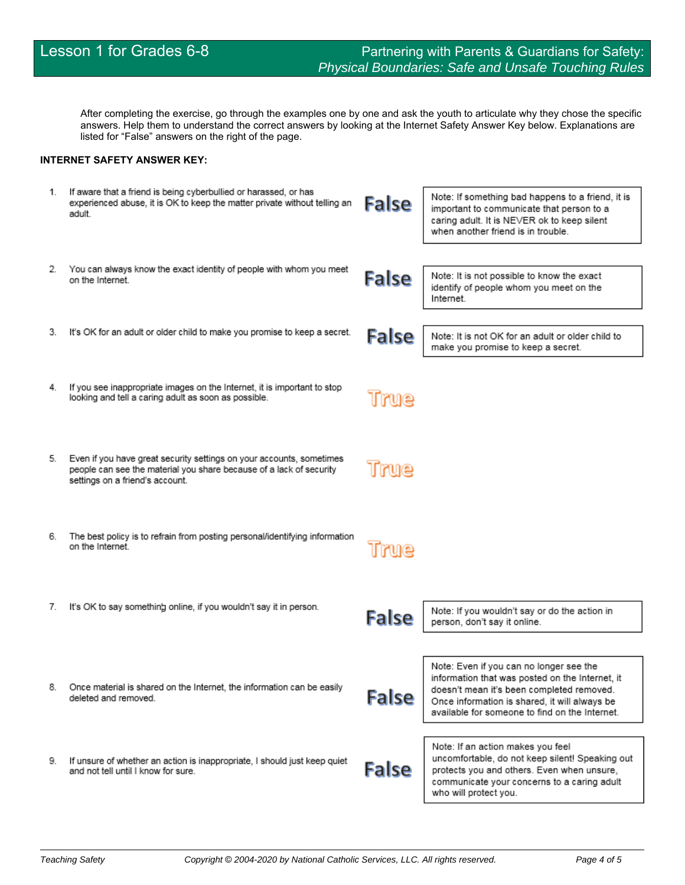After completing the exercise, go through the examples one by one and ask the youth to articulate why they chose the specific answers. Help them to understand the correct answers by looking at the Internet Safety Answer Key below. Explanations are listed for "False" answers on the right of the page.

### **INTERNET SAFETY ANSWER KEY:**

| 1. | If aware that a friend is being cyberbullied or harassed, or has<br>experienced abuse, it is OK to keep the matter private without telling an<br>adult.                        | <b>False</b> | Note: If something bad happens to a friend, it is<br>important to communicate that person to a<br>caring adult. It is NEVER ok to keep silent<br>when another friend is in trouble.                                                        |
|----|--------------------------------------------------------------------------------------------------------------------------------------------------------------------------------|--------------|--------------------------------------------------------------------------------------------------------------------------------------------------------------------------------------------------------------------------------------------|
| 2. | You can always know the exact identity of people with whom you meet<br>on the Internet.                                                                                        | <b>False</b> | Note: It is not possible to know the exact<br>identify of people whom you meet on the<br>Internet.                                                                                                                                         |
| З. | It's OK for an adult or older child to make you promise to keep a secret.                                                                                                      | <b>False</b> | Note: It is not OK for an adult or older child to<br>make you promise to keep a secret.                                                                                                                                                    |
| 4. | If you see inappropriate images on the Internet, it is important to stop<br>looking and tell a caring adult as soon as possible.                                               | True         |                                                                                                                                                                                                                                            |
| 5. | Even if you have great security settings on your accounts, sometimes<br>people can see the material you share because of a lack of security<br>settings on a friend's account. | True         |                                                                                                                                                                                                                                            |
| 6. | The best policy is to refrain from posting personal/identifying information<br>on the Internet.                                                                                | 1rme         |                                                                                                                                                                                                                                            |
| 7. | It's OK to say something online, if you wouldn't say it in person.                                                                                                             | <b>False</b> | Note: If you wouldn't say or do the action in<br>person, don't say it online.                                                                                                                                                              |
| 8. | Once material is shared on the Internet, the information can be easily<br>deleted and removed.                                                                                 | <b>False</b> | Note: Even if you can no longer see the<br>information that was posted on the Internet, it<br>doesn't mean it's been completed removed.<br>Once information is shared, it will always be<br>available for someone to find on the Internet. |
| 9. | If unsure of whether an action is inappropriate, I should just keep quiet<br>and not tell until I know for sure.                                                               | <b>False</b> | Note: If an action makes you feel<br>uncomfortable, do not keep silent! Speaking out<br>protects you and others. Even when unsure,<br>communicate your concerns to a caring adult<br>who will protect you.                                 |